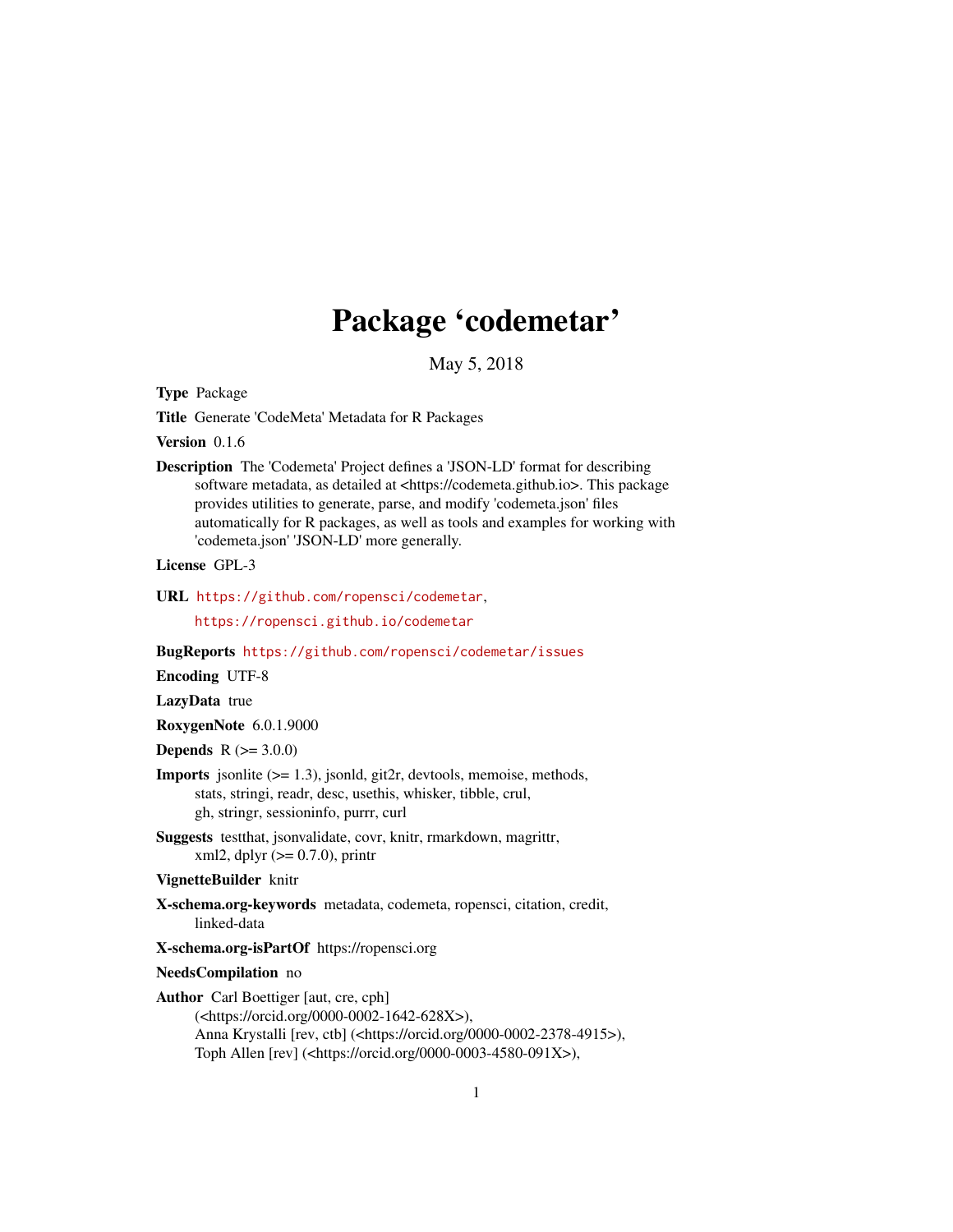# Package 'codemetar'

May 5, 2018

<span id="page-0-0"></span>Type Package

Title Generate 'CodeMeta' Metadata for R Packages

Version 0.1.6

Description The 'Codemeta' Project defines a 'JSON-LD' format for describing software metadata, as detailed at <https://codemeta.github.io>. This package provides utilities to generate, parse, and modify 'codemeta.json' files automatically for R packages, as well as tools and examples for working with 'codemeta.json' 'JSON-LD' more generally.

License GPL-3

URL <https://github.com/ropensci/codemetar>,

<https://ropensci.github.io/codemetar>

BugReports <https://github.com/ropensci/codemetar/issues>

Encoding UTF-8

LazyData true

RoxygenNote 6.0.1.9000

**Depends**  $R (= 3.0.0)$ 

- **Imports** jsonlite  $(>= 1.3)$ , jsonld, git2r, devtools, memoise, methods, stats, stringi, readr, desc, usethis, whisker, tibble, crul, gh, stringr, sessioninfo, purrr, curl
- Suggests testthat, jsonvalidate, covr, knitr, rmarkdown, magrittr, xml2, dplyr  $(>= 0.7.0)$ , printr

VignetteBuilder knitr

X-schema.org-keywords metadata, codemeta, ropensci, citation, credit, linked-data

X-schema.org-isPartOf https://ropensci.org

#### NeedsCompilation no

Author Carl Boettiger [aut, cre, cph] (<https://orcid.org/0000-0002-1642-628X>), Anna Krystalli [rev, ctb] (<https://orcid.org/0000-0002-2378-4915>), Toph Allen [rev] (<https://orcid.org/0000-0003-4580-091X>),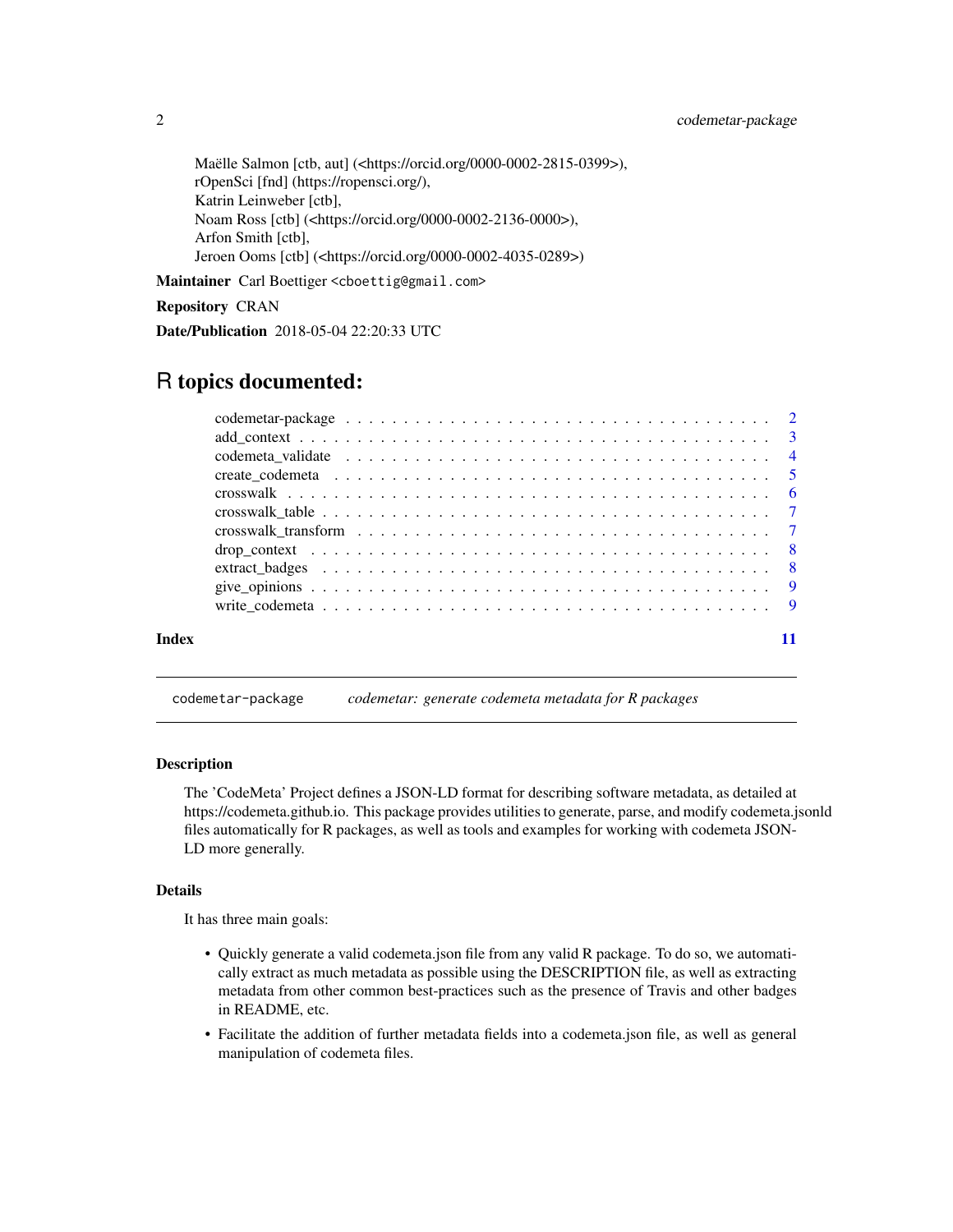<span id="page-1-0"></span>Maëlle Salmon [ctb, aut] (<https://orcid.org/0000-0002-2815-0399>), rOpenSci [fnd] (https://ropensci.org/), Katrin Leinweber [ctb], Noam Ross [ctb] (<https://orcid.org/0000-0002-2136-0000>), Arfon Smith [ctb], Jeroen Ooms [ctb] (<https://orcid.org/0000-0002-4035-0289>)

Maintainer Carl Boettiger <cboettig@gmail.com>

#### Repository CRAN

Date/Publication 2018-05-04 22:20:33 UTC

# R topics documented:

| Index |  |
|-------|--|

codemetar-package *codemetar: generate codemeta metadata for R packages*

#### Description

The 'CodeMeta' Project defines a JSON-LD format for describing software metadata, as detailed at https://codemeta.github.io. This package provides utilities to generate, parse, and modify codemeta.jsonld files automatically for R packages, as well as tools and examples for working with codemeta JSON-LD more generally.

#### Details

It has three main goals:

- Quickly generate a valid codemeta.json file from any valid R package. To do so, we automatically extract as much metadata as possible using the DESCRIPTION file, as well as extracting metadata from other common best-practices such as the presence of Travis and other badges in README, etc.
- Facilitate the addition of further metadata fields into a codemeta.json file, as well as general manipulation of codemeta files.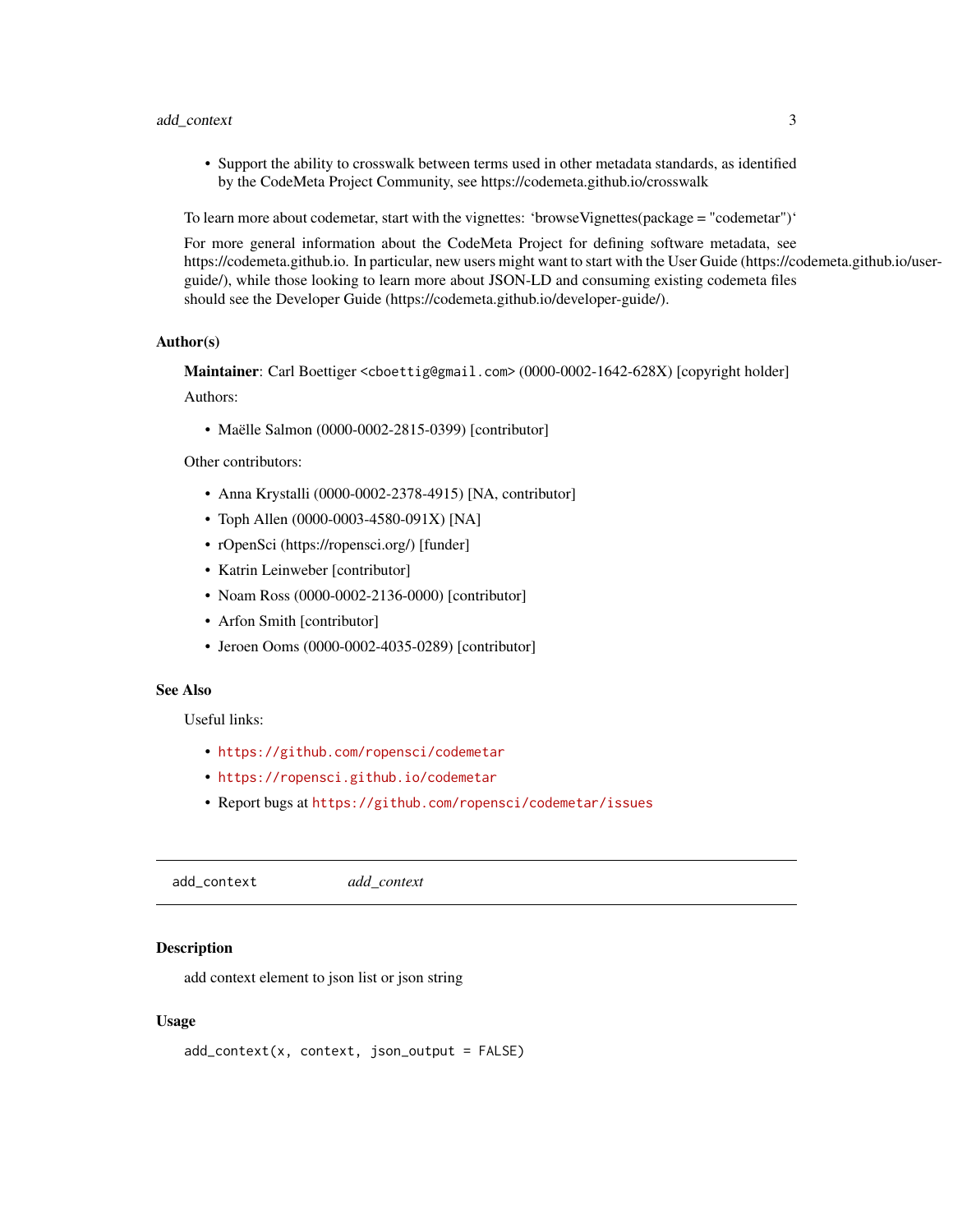#### <span id="page-2-0"></span>add\_context 3

• Support the ability to crosswalk between terms used in other metadata standards, as identified by the CodeMeta Project Community, see https://codemeta.github.io/crosswalk

To learn more about codemetar, start with the vignettes: 'browseVignettes(package = "codemetar")'

For more general information about the CodeMeta Project for defining software metadata, see https://codemeta.github.io. In particular, new users might want to start with the User Guide (https://codemeta.github.io/userguide/), while those looking to learn more about JSON-LD and consuming existing codemeta files should see the Developer Guide (https://codemeta.github.io/developer-guide/).

# Author(s)

Maintainer: Carl Boettiger <cboettig@gmail.com> (0000-0002-1642-628X) [copyright holder]

Authors:

• Maëlle Salmon (0000-0002-2815-0399) [contributor]

Other contributors:

- Anna Krystalli (0000-0002-2378-4915) [NA, contributor]
- Toph Allen (0000-0003-4580-091X) [NA]
- rOpenSci (https://ropensci.org/) [funder]
- Katrin Leinweber [contributor]
- Noam Ross (0000-0002-2136-0000) [contributor]
- Arfon Smith [contributor]
- Jeroen Ooms (0000-0002-4035-0289) [contributor]

#### See Also

Useful links:

- <https://github.com/ropensci/codemetar>
- <https://ropensci.github.io/codemetar>
- Report bugs at <https://github.com/ropensci/codemetar/issues>

add\_context *add\_context*

#### Description

add context element to json list or json string

#### Usage

```
add_context(x, context, json_output = FALSE)
```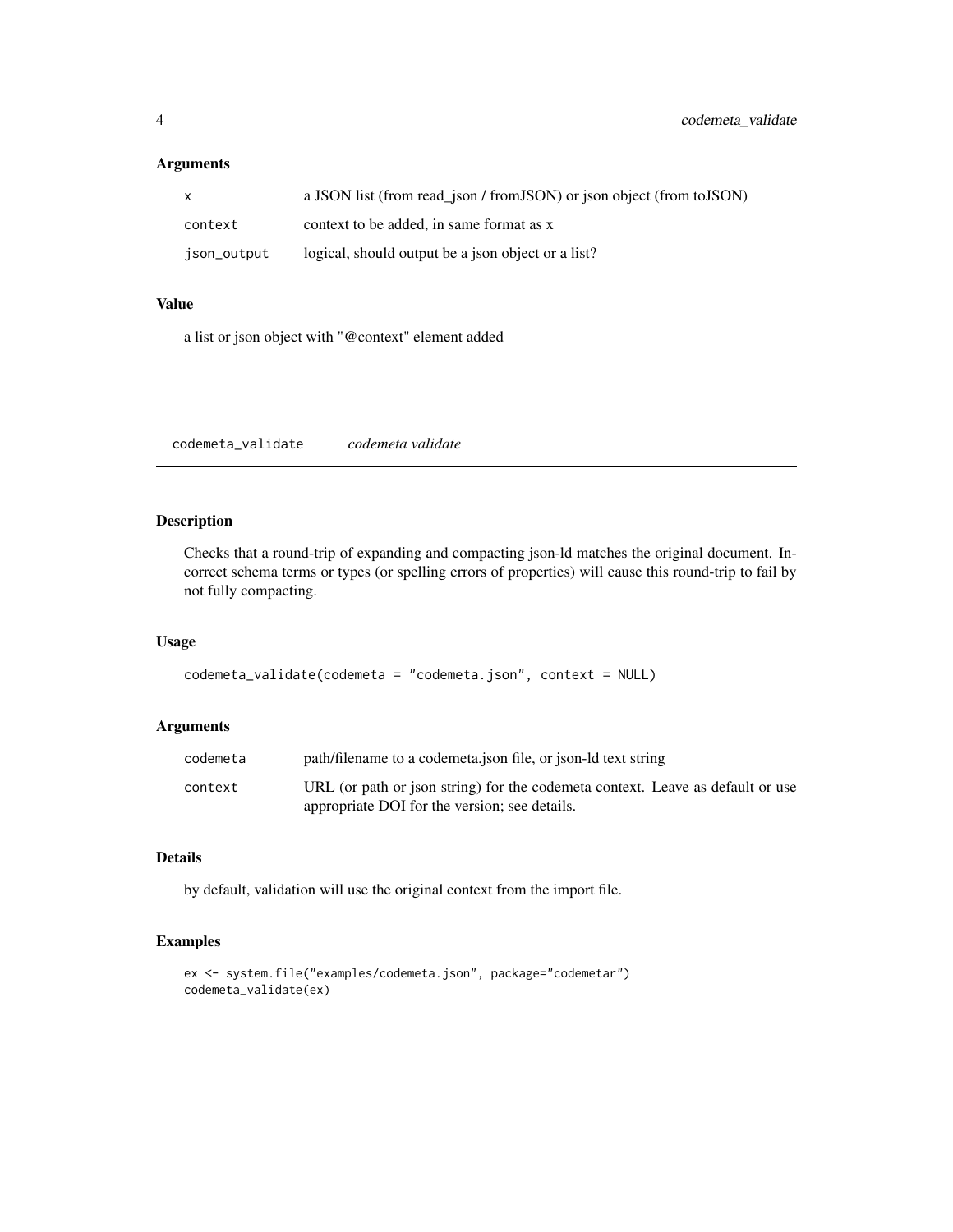# <span id="page-3-0"></span>Arguments

| $\mathsf{x}$ | a JSON list (from read_json / from JSON) or json object (from to JSON) |
|--------------|------------------------------------------------------------------------|
| context      | context to be added, in same format as x                               |
| ison_output  | logical, should output be a json object or a list?                     |

#### Value

a list or json object with "@context" element added

codemeta\_validate *codemeta validate*

# Description

Checks that a round-trip of expanding and compacting json-ld matches the original document. Incorrect schema terms or types (or spelling errors of properties) will cause this round-trip to fail by not fully compacting.

#### Usage

```
codemeta_validate(codemeta = "codemeta.json", context = NULL)
```
# Arguments

| codemeta | path/filename to a codemeta.json file, or json-ld text string                  |
|----------|--------------------------------------------------------------------------------|
| context  | URL (or path or json string) for the codemeta context. Leave as default or use |
|          | appropriate DOI for the version; see details.                                  |

# Details

by default, validation will use the original context from the import file.

# Examples

```
ex <- system.file("examples/codemeta.json", package="codemetar")
codemeta_validate(ex)
```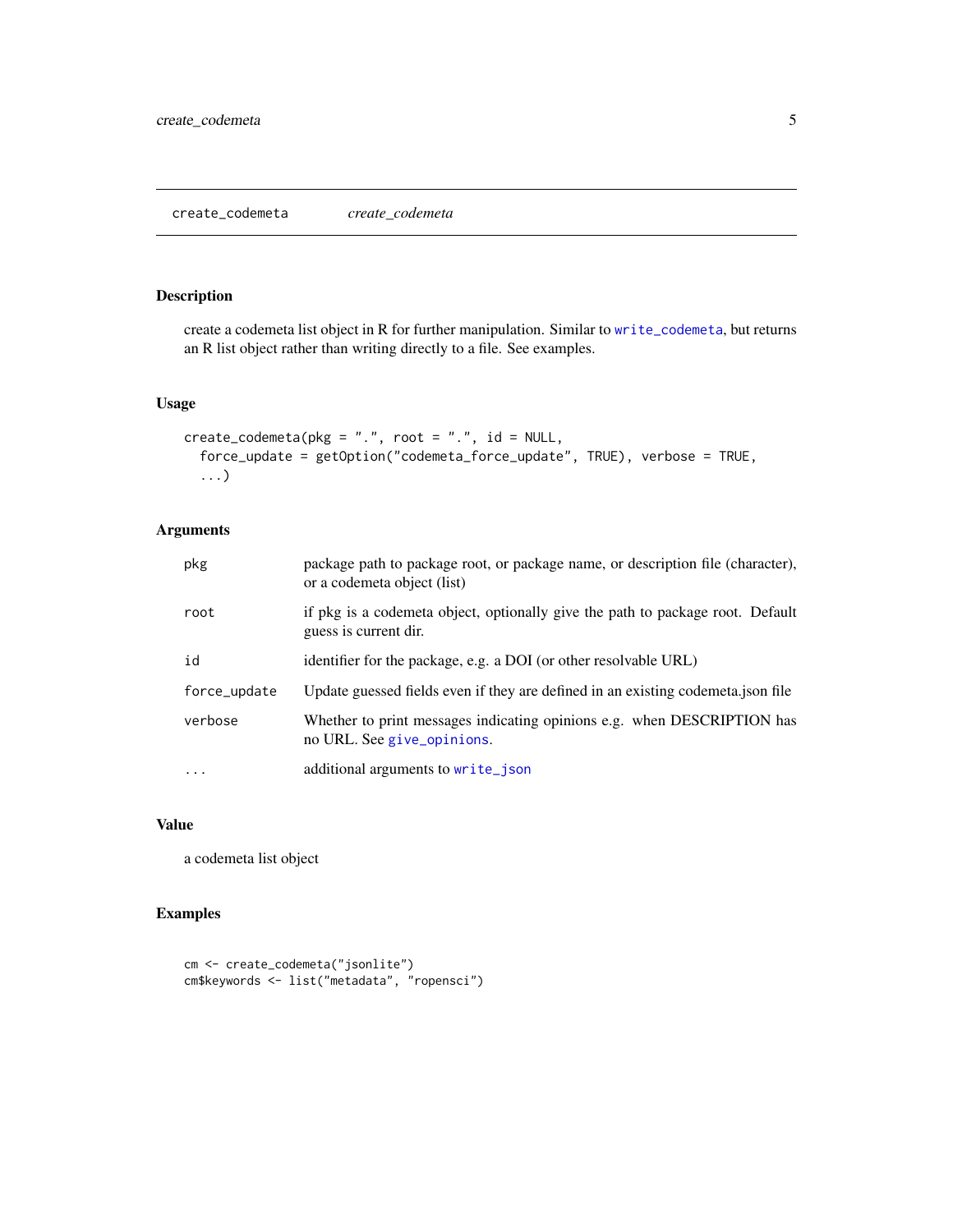# <span id="page-4-0"></span>Description

create a codemeta list object in R for further manipulation. Similar to [write\\_codemeta](#page-8-1), but returns an R list object rather than writing directly to a file. See examples.

### Usage

```
create_codemeta(pkg = ".", root = ".", id = NULL,
  force_update = getOption("codemeta_force_update", TRUE), verbose = TRUE,
  ...)
```
# Arguments

| pkg          | package path to package root, or package name, or description file (character),<br>or a codemeta object (list) |
|--------------|----------------------------------------------------------------------------------------------------------------|
| root         | if pkg is a codemeta object, optionally give the path to package root. Default<br>guess is current dir.        |
| id           | identifier for the package, e.g. a DOI (or other resolvable URL)                                               |
| force_update | Update guessed fields even if they are defined in an existing codemeta.json file                               |
| verbose      | Whether to print messages indicating opinions e.g. when DESCRIPTION has<br>no URL. See give_opinions.          |
| $\cdots$     | additional arguments to write_json                                                                             |

#### Value

a codemeta list object

# Examples

```
cm <- create_codemeta("jsonlite")
cm$keywords <- list("metadata", "ropensci")
```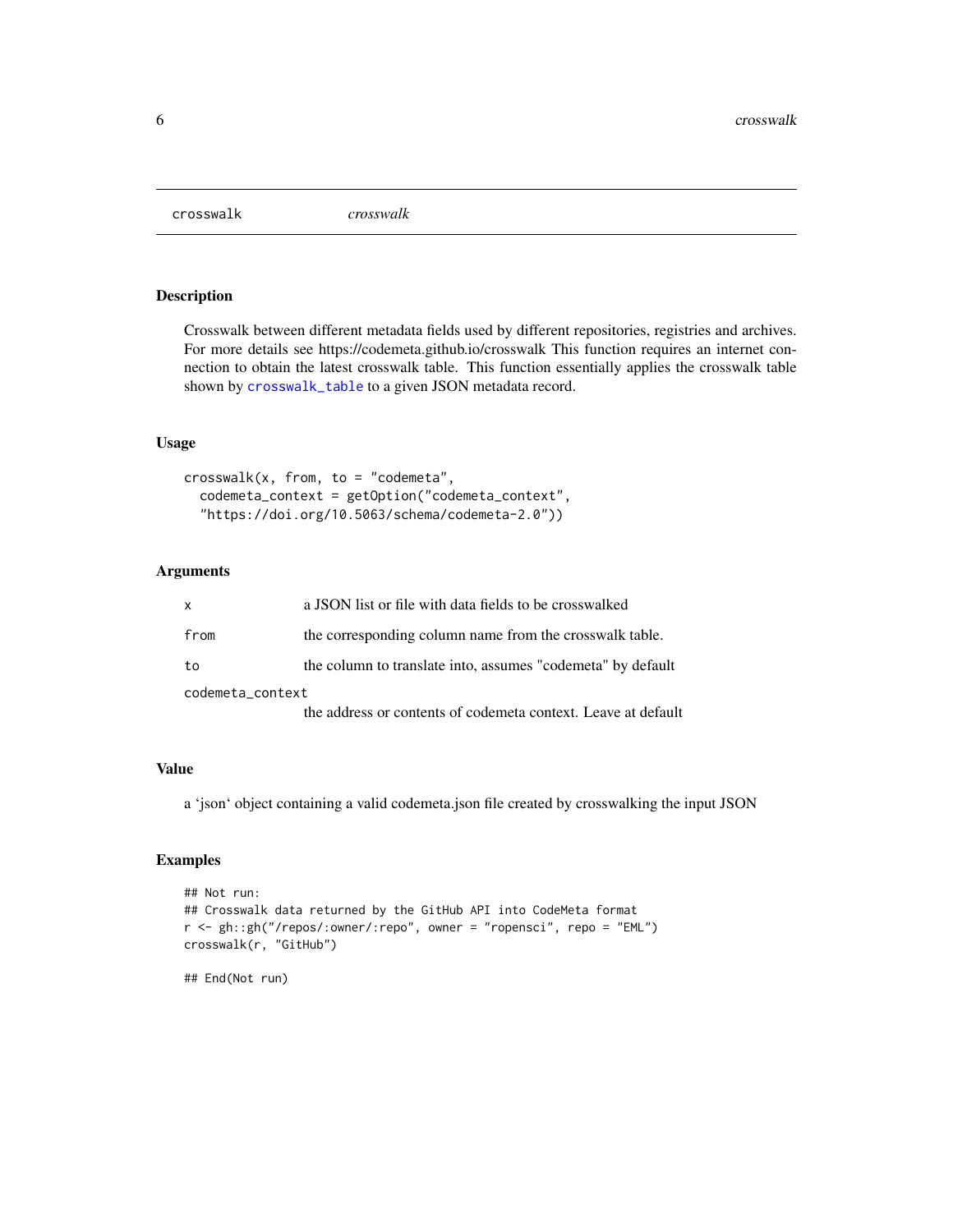<span id="page-5-0"></span>crosswalk *crosswalk*

#### Description

Crosswalk between different metadata fields used by different repositories, registries and archives. For more details see https://codemeta.github.io/crosswalk This function requires an internet connection to obtain the latest crosswalk table. This function essentially applies the crosswalk table shown by [crosswalk\\_table](#page-6-1) to a given JSON metadata record.

#### Usage

```
crosswalk(x, from, to = "codemeta",
  codemeta_context = getOption("codemeta_context",
  "https://doi.org/10.5063/schema/codemeta-2.0"))
```
#### Arguments

| $\mathsf{x}$     | a JSON list or file with data fields to be crosswalked        |
|------------------|---------------------------------------------------------------|
| from             | the corresponding column name from the crosswalk table.       |
| to               | the column to translate into, assumes "codemeta" by default   |
| codemeta_context |                                                               |
|                  | the address or contents of codemeta context. Leave at default |

# Value

a 'json' object containing a valid codemeta.json file created by crosswalking the input JSON

# Examples

```
## Not run:
## Crosswalk data returned by the GitHub API into CodeMeta format
r <- gh::gh("/repos/:owner/:repo", owner = "ropensci", repo = "EML")
crosswalk(r, "GitHub")
```
## End(Not run)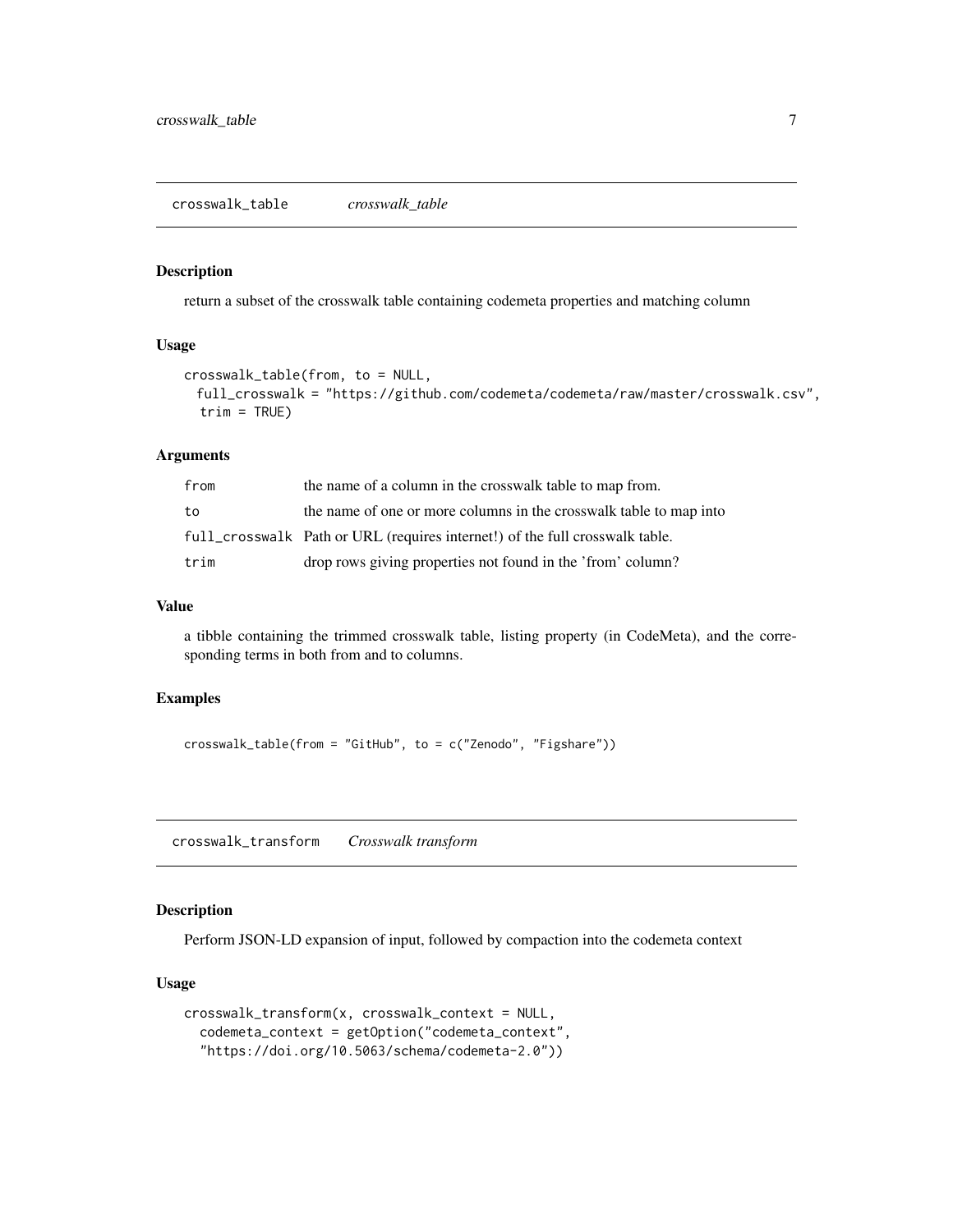#### <span id="page-6-1"></span><span id="page-6-0"></span>Description

return a subset of the crosswalk table containing codemeta properties and matching column

#### Usage

```
crosswalk_table(from, to = NULL,
 full_crosswalk = "https://github.com/codemeta/codemeta/raw/master/crosswalk.csv",
  trim = TRUE)
```
#### Arguments

| from | the name of a column in the crosswalk table to map from.                     |
|------|------------------------------------------------------------------------------|
| to   | the name of one or more columns in the crosswalk table to map into           |
|      | full_crosswalk Path or URL (requires internet!) of the full crosswalk table. |
| trim | drop rows giving properties not found in the 'from' column?                  |

#### Value

a tibble containing the trimmed crosswalk table, listing property (in CodeMeta), and the corresponding terms in both from and to columns.

#### Examples

```
crosswalk_table(from = "GitHub", to = c("Zenodo", "Figshare"))
```
crosswalk\_transform *Crosswalk transform*

#### Description

Perform JSON-LD expansion of input, followed by compaction into the codemeta context

# Usage

```
crosswalk_transform(x, crosswalk_context = NULL,
  codemeta_context = getOption("codemeta_context",
  "https://doi.org/10.5063/schema/codemeta-2.0"))
```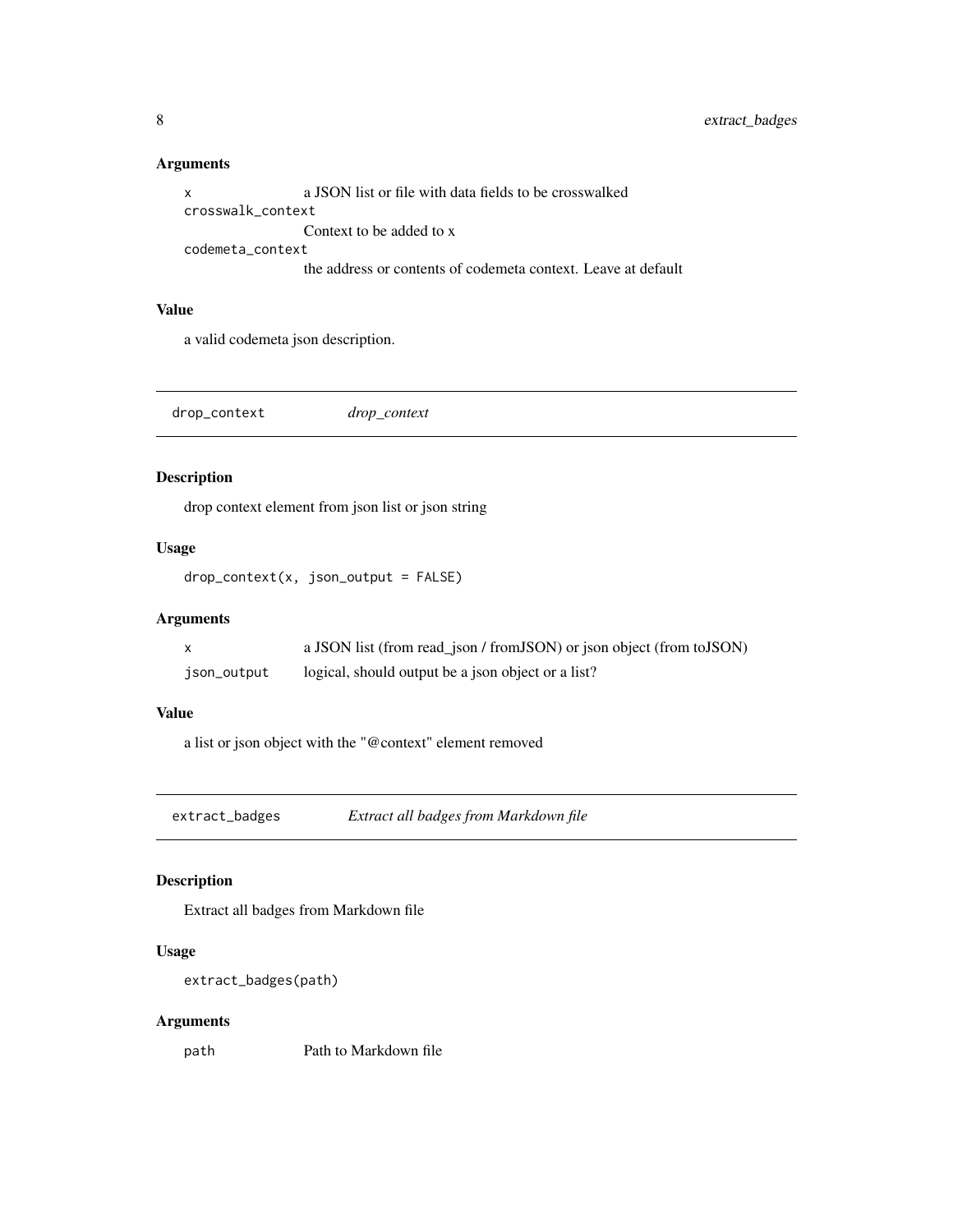# Arguments

x a JSON list or file with data fields to be crosswalked crosswalk\_context Context to be added to x codemeta\_context the address or contents of codemeta context. Leave at default

# Value

a valid codemeta json description.

drop\_context *drop\_context*

# Description

drop context element from json list or json string

# Usage

 $drop\_context(x, json\_output = FALSE)$ 

#### Arguments

|             | a JSON list (from read_json / from JSON) or json object (from to JSON) |
|-------------|------------------------------------------------------------------------|
| json_output | logical, should output be a json object or a list?                     |

#### Value

a list or json object with the "@context" element removed

extract\_badges *Extract all badges from Markdown file*

# Description

Extract all badges from Markdown file

# Usage

```
extract_badges(path)
```
#### Arguments

path Path to Markdown file

<span id="page-7-0"></span>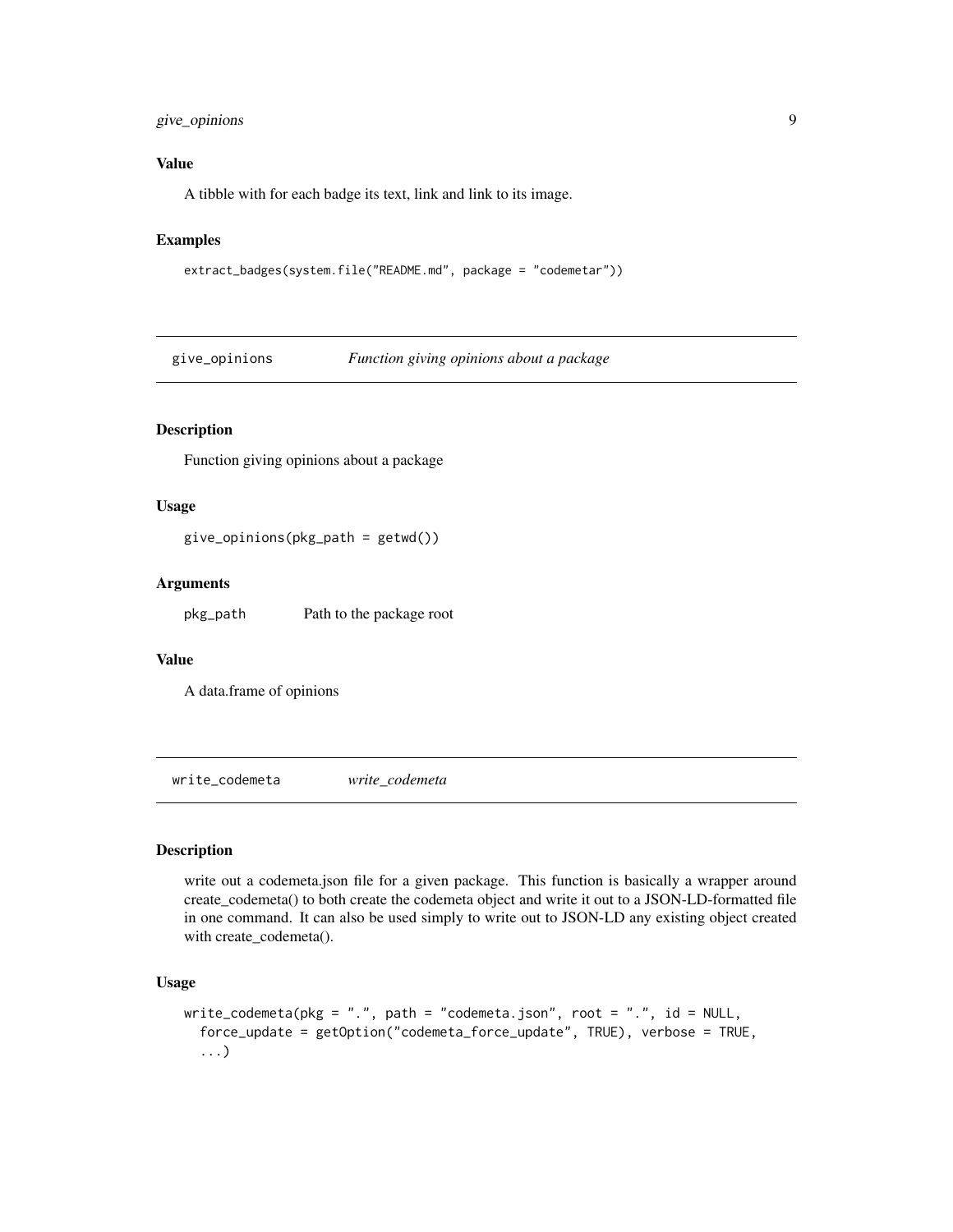# <span id="page-8-0"></span>give\_opinions 9

### Value

A tibble with for each badge its text, link and link to its image.

# Examples

```
extract_badges(system.file("README.md", package = "codemetar"))
```
<span id="page-8-2"></span>give\_opinions *Function giving opinions about a package*

#### Description

Function giving opinions about a package

# Usage

give\_opinions(pkg\_path = getwd())

#### **Arguments**

pkg\_path Path to the package root

#### Value

A data.frame of opinions

<span id="page-8-1"></span>write\_codemeta *write\_codemeta*

#### Description

write out a codemeta.json file for a given package. This function is basically a wrapper around create\_codemeta() to both create the codemeta object and write it out to a JSON-LD-formatted file in one command. It can also be used simply to write out to JSON-LD any existing object created with create\_codemeta().

# Usage

```
write_codemeta(pkg = ".", path = "codemeta.json", root = ".", id = NULL,
  force_update = getOption("codemeta_force_update", TRUE), verbose = TRUE,
  ...)
```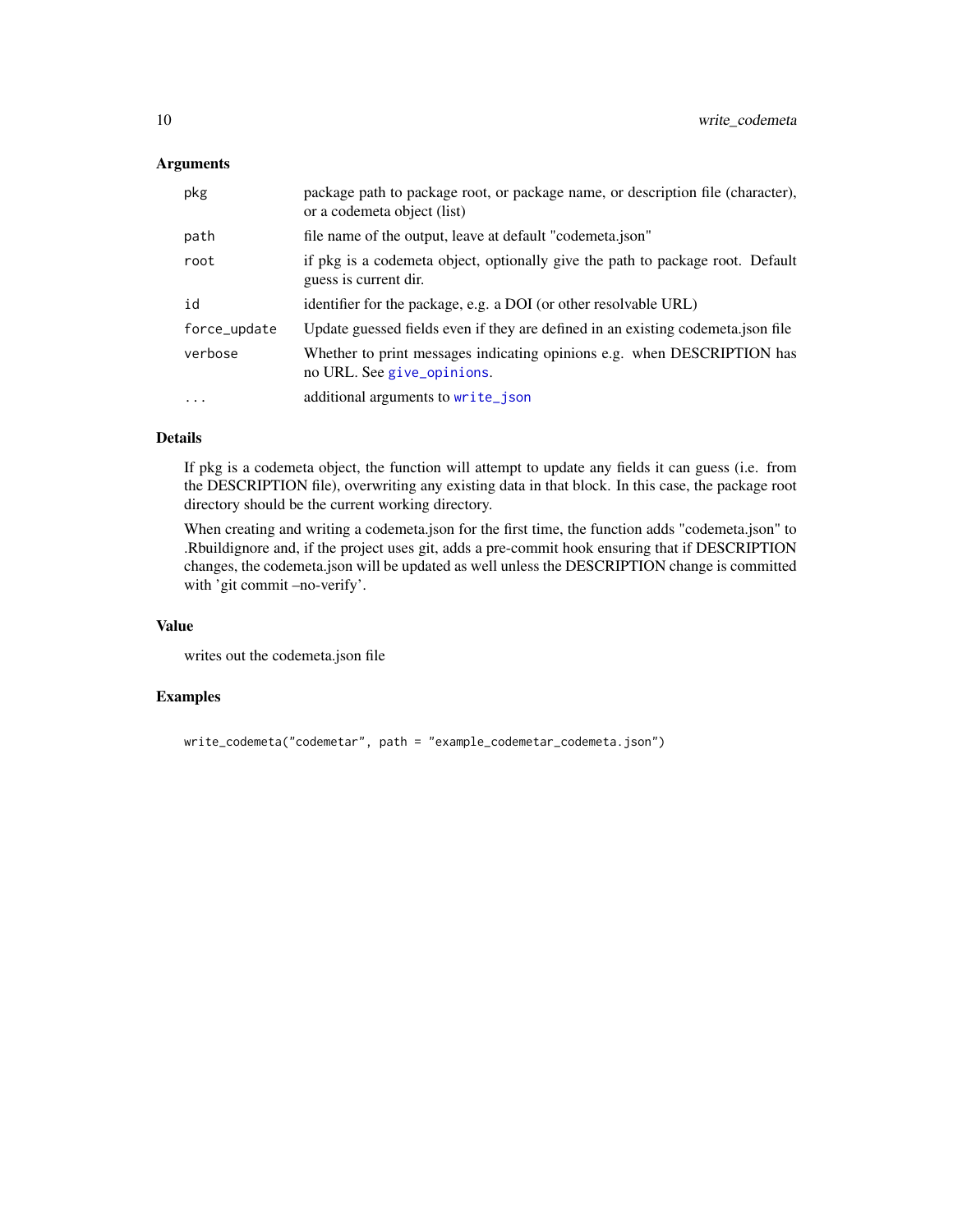# <span id="page-9-0"></span>Arguments

| pkg          | package path to package root, or package name, or description file (character),<br>or a codemeta object (list) |
|--------------|----------------------------------------------------------------------------------------------------------------|
| path         | file name of the output, leave at default "codemeta.json"                                                      |
| root         | if pkg is a codemeta object, optionally give the path to package root. Default<br>guess is current dir.        |
| id           | identifier for the package, e.g. a DOI (or other resolvable URL)                                               |
| force_update | Update guessed fields even if they are defined in an existing codemeta.json file                               |
| verbose      | Whether to print messages indicating opinions e.g. when DESCRIPTION has<br>no URL. See give_opinions.          |
| $\ddotsc$    | additional arguments to write_json                                                                             |

# Details

If pkg is a codemeta object, the function will attempt to update any fields it can guess (i.e. from the DESCRIPTION file), overwriting any existing data in that block. In this case, the package root directory should be the current working directory.

When creating and writing a codemeta.json for the first time, the function adds "codemeta.json" to .Rbuildignore and, if the project uses git, adds a pre-commit hook ensuring that if DESCRIPTION changes, the codemeta.json will be updated as well unless the DESCRIPTION change is committed with 'git commit –no-verify'.

# Value

writes out the codemeta.json file

#### Examples

```
write_codemeta("codemetar", path = "example_codemetar_codemeta.json")
```